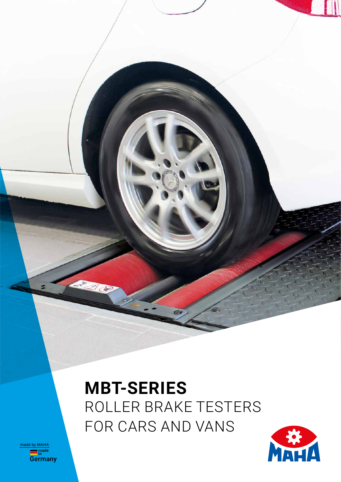# **MBT-SERIES**  ROLLER BRAKE TESTERS FOR CARS AND VANS



**<u>made</u><br>Germany** made by MAHA

Ba d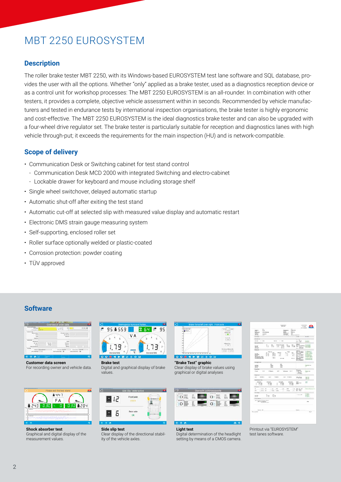### MBT 2250 EUROSYSTEM

#### **Description**

The roller brake tester MBT 2250, with its Windows-based EUROSYSTEM test lane software and SQL database, provides the user with all the options. Whether "only" applied as a brake tester, used as a diagnostics reception device or as a control unit for workshop processes: The MBT 2250 EUROSYSTEM is an all-rounder. In combination with other testers, it provides a complete, objective vehicle assessment within in seconds. Recommended by vehicle manufacturers and tested in endurance tests by international inspection organisations, the brake tester is highly ergonomic and cost-effective. The MBT 2250 EUROSYSTEM is the ideal diagnostics brake tester and can also be upgraded with a four-wheel drive regulator set. The brake tester is particularly suitable for reception and diagnostics lanes with high vehicle through-put; it exceeds the requirements for the main inspection (HU) and is network-compatible.

#### **Scope of delivery**

- Communication Desk or Switching cabinet for test stand control
	- Communication Desk MCD 2000 with integrated Switching and electro-cabinet
	- Lockable drawer for keyboard and mouse including storage shelf
- Single wheel switchover, delayed automatic startup
- Automatic shut-off after exiting the test stand
- Automatic cut-off at selected slip with measured value display and automatic restart
- Electronic DMS strain gauge measuring system
- Self-supporting, enclosed roller set
- Roller surface optionally welded or plastic-coated
- Corrosion protection: powder coating
- TÜV approved

#### **Software**

|                                       |               | Overview of order data |                            |  |    |
|---------------------------------------|---------------|------------------------|----------------------------|--|----|
|                                       | <b>4 M/TM</b> |                        | <b>Address</b>             |  | й. |
| <b>Submorn Bids</b><br><b>SERVICE</b> |               |                        | <b>Including company</b> 2 |  |    |
|                                       |               |                        | <b>CALCULATION</b>         |  |    |
| <b>Single</b>                         |               |                        |                            |  |    |
|                                       |               |                        |                            |  |    |
| <b>Andre Mile</b>                     |               |                        |                            |  |    |
|                                       |               |                        |                            |  |    |
|                                       |               |                        |                            |  |    |
|                                       |               |                        |                            |  |    |
|                                       |               |                        | <b>Children</b>            |  |    |
|                                       |               |                        |                            |  |    |
|                                       |               |                        |                            |  |    |
|                                       |               |                        |                            |  |    |

**Customer data screen** For recording owner and vehicle data



**Shock absorber test** Graphical and digital display of the measurement values.



**Brake test** Digital and graphical display of brake values



**Side slip test** Clear display of the directional stability of the vehicle axles.

| Life an<br>×             |
|--------------------------|
| ÷                        |
| ۲<br>۸                   |
| $\overline{a}$           |
| <b>Times</b><br>for will |

**"Brake Test" graphic** Clear display of brake values using graphical or digital analyses



| <b>Light test</b>          |  |
|----------------------------|--|
| Digital determination of t |  |

he headlight setting by means of a CMOS camera.

| iù.<br>harts:<br>Sep.<br>mar.<br>is us as<br><b>Turques</b><br><b>Service</b><br>Sun less                                                             | <b><i>UNK Schools</i></b>                                                               |                                    | <b>Laire at mit</b><br><b>Hings</b><br><b>MAYNA</b><br><b>TASK BUILT</b><br><b>Voltado taxer</b> | ÷.<br><b>CAUSES IR RC</b><br>m<br><b>GALVIN</b><br>$\sim$<br>Total | a Licensi<br><b>BY ARMS</b>                                                                          | MANIA                                                                                           |
|-------------------------------------------------------------------------------------------------------------------------------------------------------|-----------------------------------------------------------------------------------------|------------------------------------|--------------------------------------------------------------------------------------------------|--------------------------------------------------------------------|------------------------------------------------------------------------------------------------------|-------------------------------------------------------------------------------------------------|
| <b>Sales many</b><br>$-1$<br>(Vehicle)                                                                                                                |                                                                                         |                                    | THE PERSON                                                                                       | <b>EXCHEMINE</b>                                                   | Links:                                                                                               | <b>Sunder</b>                                                                                   |
| Alertina                                                                                                                                              |                                                                                         |                                    |                                                                                                  |                                                                    | $-1a$                                                                                                |                                                                                                 |
| beauty of the                                                                                                                                         |                                                                                         | term 11 mm                         |                                                                                                  |                                                                    | $-22$                                                                                                | in se di<br>$11 - 1$                                                                            |
| <b>Jack Avenue</b> are                                                                                                                                |                                                                                         |                                    |                                                                                                  |                                                                    | <b>New ork</b>                                                                                       | <b>Inches</b>                                                                                   |
| <b>The Corp.</b><br><b>Bradford</b><br><b>Wall Avenue</b>                                                                                             | īз<br>F.                                                                                | an Alam<br>и<br>್ನ<br><b>HELP</b>  | ăb.                                                                                              | $\pm \pi$                                                          | <b>Real</b><br>$-0.5$<br>m<br><b>LESS</b><br>$1 - 1$                                                 | 滋生                                                                                              |
| <b>Wallace</b>                                                                                                                                        |                                                                                         |                                    |                                                                                                  |                                                                    |                                                                                                      |                                                                                                 |
| <b>SHAW</b><br><b>Deltoy Road</b><br><b>Single color</b><br><b>THE CATALOG STATE</b><br><b>Secretary before feets</b><br><b>Incomment Ledge true:</b> | <b><i><u>RADIO</u></i></b><br>w<br>當日<br>信息<br>car an<br>$107 - 24$<br>$m \leq$<br>$-1$ | R<br>and straps.                   | Total C<br>w<br>÷.<br>72                                                                         | $^{16}$<br>Ξt<br>$\sim$<br>٠<br>car on                             | ES <sub>m</sub><br>1 M schools<br><b>Brooklynd</b><br><b>VSI</b><br><b><i>HELL IN STATISTICS</i></b> | ment.<br>in Library of<br><b>EATHRONE A</b><br><b>LESSING</b><br><b>Instrume file</b><br>------ |
| model-cont                                                                                                                                            |                                                                                         |                                    |                                                                                                  |                                                                    |                                                                                                      |                                                                                                 |
| terim)<br><b>Dutchind</b><br>2<br>the face.                                                                                                           | $\frac{1}{2}$                                                                           | m.<br>Canada                       |                                                                                                  |                                                                    |                                                                                                      | <b>Instrument</b>                                                                               |
| <b>Brazilian</b>                                                                                                                                      |                                                                                         |                                    |                                                                                                  |                                                                    |                                                                                                      |                                                                                                 |
| <b>House</b><br><b>Side</b>                                                                                                                           | <b>UT Stadium</b>                                                                       | $+1$                               | <b>Bringley 10 H</b>                                                                             |                                                                    | W.<br>$= 46$ K and                                                                                   | hije në                                                                                         |
| <b>CRALLINE</b>                                                                                                                                       |                                                                                         |                                    |                                                                                                  |                                                                    |                                                                                                      |                                                                                                 |
| <b>MAY CARDS</b><br><b>Secretary and</b>                                                                                                              | $\frac{1}{2}$                                                                           | Tubulat III                        | ment the party                                                                                   |                                                                    | <b>MAY 2014</b>                                                                                      | 非                                                                                               |
| w.<br>$-$ win                                                                                                                                         | m                                                                                       | 1<br>$-22$                         | äΞ                                                                                               |                                                                    | $\Xi -$                                                                                              | z.                                                                                              |
| The most                                                                                                                                              |                                                                                         |                                    |                                                                                                  |                                                                    |                                                                                                      |                                                                                                 |
| ÷<br>$-2596$<br>$\sim$<br>$-19.98$                                                                                                                    | $\rightarrow$<br>$-46$<br>$-$ 5.54<br>14                                                | $-$ 000 $+$<br>$-10$<br>Links<br>- | <b>MARK</b><br><b>House</b>                                                                      | $-14$                                                              | 97.95                                                                                                |                                                                                                 |
| <b>Inches</b><br><b>Good and</b><br><b>Francis</b>                                                                                                    | Te Te                                                                                   |                                    |                                                                                                  |                                                                    | $-14$ in result                                                                                      | <b>CALLA</b><br><b>Life</b>                                                                     |
| <b>New Area</b>                                                                                                                                       |                                                                                         |                                    |                                                                                                  |                                                                    |                                                                                                      |                                                                                                 |
| <b>MAY DOGUME AT ENDING MAINER</b><br>pad - no subjection                                                                                             |                                                                                         |                                    |                                                                                                  |                                                                    |                                                                                                      | the con-                                                                                        |
|                                                                                                                                                       |                                                                                         |                                    |                                                                                                  |                                                                    |                                                                                                      |                                                                                                 |
| <b>Pages 34</b><br><b>Recognized</b>                                                                                                                  |                                                                                         |                                    |                                                                                                  |                                                                    | Transport -                                                                                          | ia an<br>back.                                                                                  |
| w                                                                                                                                                     |                                                                                         |                                    |                                                                                                  |                                                                    |                                                                                                      |                                                                                                 |

Printout via "EUROSYSTEM" test lanes software.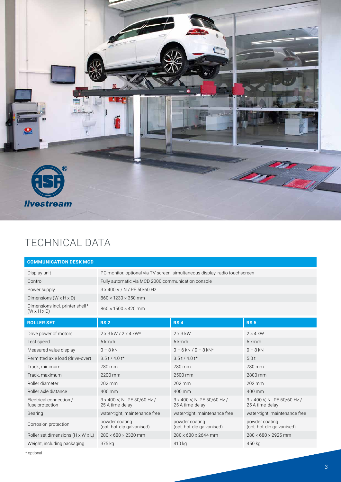

### TECHNICAL DATA

| <b>COMMUNICATION DESK MCD</b>                              |                                                                             |                                                |                                                |  |  |  |
|------------------------------------------------------------|-----------------------------------------------------------------------------|------------------------------------------------|------------------------------------------------|--|--|--|
| Display unit                                               | PC monitor, optional via TV screen, simultaneous display, radio touchscreen |                                                |                                                |  |  |  |
| Control                                                    | Fully automatic via MCD 2000 communication console                          |                                                |                                                |  |  |  |
| Power supply                                               | 3 x 400 V / N / PE 50/60 Hz                                                 |                                                |                                                |  |  |  |
| Dimensions $(W \times H \times D)$                         | $860 \times 1230 \times 350$ mm                                             |                                                |                                                |  |  |  |
| Dimensions incl. printer shelf*<br>$(W \times H \times D)$ | $860 \times 1500 \times 420$ mm                                             |                                                |                                                |  |  |  |
| <b>ROLLER SET</b>                                          | <b>RS2</b>                                                                  | <b>RS4</b>                                     | <b>RS 5</b>                                    |  |  |  |
| Drive power of motors                                      | $2 \times 3$ kW / $2 \times 4$ kW*                                          | $2 \times 3$ kW                                | $2 \times 4$ kW                                |  |  |  |
| Test speed                                                 | 5 km/h                                                                      | 5 km/h                                         | 5 km/h                                         |  |  |  |
| Measured value display                                     | $0 - 8$ kN                                                                  | $0 - 6$ kN / $0 - 8$ kN*                       | $0 - 8$ kN                                     |  |  |  |
| Permitted axle load (drive-over)                           | $3.5t/4.0t*$                                                                | $3.5t/4.0t*$                                   | 5.0t                                           |  |  |  |
| Track, minimum                                             | 780 mm                                                                      | 780 mm                                         | 780 mm                                         |  |  |  |
| Track, maximum                                             | 2200 mm                                                                     | 2500 mm                                        | 2800 mm                                        |  |  |  |
| Roller diameter                                            | 202 mm                                                                      | 202 mm                                         | 202 mm                                         |  |  |  |
| Roller axle distance                                       | 400 mm                                                                      | 400 mm                                         | 400 mm                                         |  |  |  |
| Electrical connection /<br>fuse protection                 | 3 x 400 V, N, PE 50/60 Hz /<br>25 A time-delay                              | 3 x 400 V, N, PE 50/60 Hz /<br>25 A time-delay | 3 x 400 V, N, PE 50/60 Hz /<br>25 A time-delay |  |  |  |
| Bearing                                                    | water-tight, maintenance free                                               | water-tight, maintenance free                  | water-tight, maintenance free                  |  |  |  |
| Corrosion protection                                       | powder coating<br>(opt. hot-dip galvanised)                                 | powder coating<br>(opt. hot-dip galvanised)    | powder coating<br>(opt. hot-dip galvanised)    |  |  |  |
| Roller set dimensions (H x W x L)                          | $280 \times 680 \times 2320$ mm                                             | 280 x 680 x 2644 mm                            | $280 \times 680 \times 2925$ mm                |  |  |  |
| Weight, including packaging                                | 375 kg                                                                      | 410 kg                                         | 450 kg                                         |  |  |  |

\* optional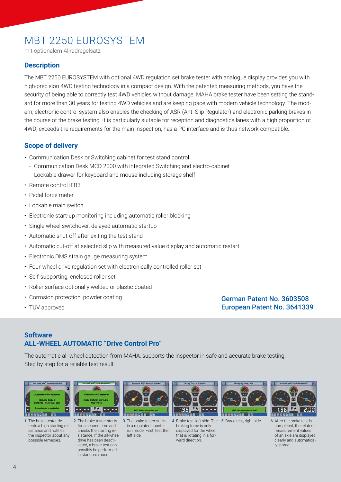### MBT 2250 EUROSYSTEM

mit optionalem Allradregelsatz

#### **Description**

The MBT 2250 EUROSYSTEM with optional 4WD regulation set brake tester with analogue display provides you with high-precision 4WD testing technology in a compact design. With the patented measuring methods, you have the security of being able to correctly test 4WD vehicles without damage. MAHA brake tester have been setting the standard for more than 30 years for testing 4WD vehicles and are keeping pace with modern vehicle technology. The modern, electronic control system also enables the checking of ASR (Anti Slip Regulator) and electronic parking brakes in the course of the brake testing. It is particularly suitable for reception and diagnostics lanes with a high proportion of 4WD; exceeds the requirements for the main inspection, has a PC interface and is thus network-compatible.

#### **Scope of delivery**

- Communication Desk or Switching cabinet for test stand control
	- Communication Desk MCD 2000 with integrated Switching and electro-cabinet
	- Lockable drawer for keyboard and mouse including storage shelf
- Remote control IFB3
- Pedal force meter
- Lockable main switch
- Electronic start-up monitoring including automatic roller blocking
- Single wheel switchover, delayed automatic startup
- Automatic shut-off after exiting the test stand
- Automatic cut-off at selected slip with measured value display and automatic restart
- Electronic DMS strain gauge measuring system
- Four-wheel drive regulation set with electronically controlled roller set
- Self-supporting, enclosed roller set
- Roller surface optionally welded or plastic-coated
- Corrosion protection: powder coating
- TÜV approved

German Patent No. 3603508 European Patent No. 3641339

#### **Software ALL-WHEEL AUTOMATIC "Drive Control Pro"**

The automatic all-wheel detection from MAHA, supports the inspector in safe and accurate brake testing. Step by step for a reliable test result.



1. The brake tester detects a high starting resistance and notifies the inspector about any possible remedies.



2. The brake tester starts for a second time and checks the starting resistance. If the all-wheel drive has been deactivated, a brake test can possibly be performed in standard mode.



3. The brake tester starts in a regulated counter run mode. First, test the left side.



4. Brake test, left side. The 5. Brace test, right side. braking force is only displayed for the wheel that is rotating in a forward direction.





6. After the brake test is completed, the related measurement values of an axle are displayed clearly and automatically stored.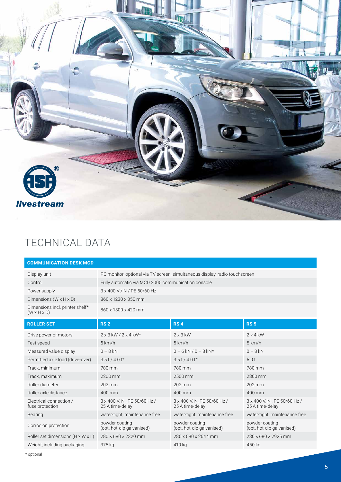

### TECHNICAL DATA

| <b>COMMUNICATION DESK MCD</b>                              |                                                    |                                                                             |                                                |  |  |  |
|------------------------------------------------------------|----------------------------------------------------|-----------------------------------------------------------------------------|------------------------------------------------|--|--|--|
| Display unit                                               |                                                    | PC monitor, optional via TV screen, simultaneous display, radio touchscreen |                                                |  |  |  |
| Control                                                    | Fully automatic via MCD 2000 communication console |                                                                             |                                                |  |  |  |
| Power supply                                               | 3 x 400 V / N / PE 50/60 Hz                        |                                                                             |                                                |  |  |  |
| Dimensions $(W \times H \times D)$                         | 860 x 1230 x 350 mm                                |                                                                             |                                                |  |  |  |
| Dimensions incl. printer shelf*<br>$(W \times H \times D)$ | 860 x 1500 x 420 mm                                |                                                                             |                                                |  |  |  |
| <b>ROLLER SET</b>                                          | <b>RS2</b>                                         | <b>RS4</b>                                                                  | <b>RS 5</b>                                    |  |  |  |
| Drive power of motors                                      | $2 \times 3$ kW / $2 \times 4$ kW*                 | $2 \times 3$ kW                                                             | $2 \times 4$ kW                                |  |  |  |
| Test speed                                                 | 5 km/h                                             | 5 km/h                                                                      | 5 km/h                                         |  |  |  |
| Measured value display                                     | $0 - 8$ kN                                         | $0 - 6$ kN $/ 0 - 8$ kN*                                                    | $0 - 8$ kN                                     |  |  |  |
| Permitted axle load (drive-over)                           | $3.5t/4.0t*$                                       | $3.5t/4.0t*$                                                                | 5.0t                                           |  |  |  |
| Track, minimum                                             | 780 mm                                             | 780 mm                                                                      | 780 mm                                         |  |  |  |
| Track, maximum                                             | 2200 mm                                            | 2500 mm                                                                     | 2800 mm                                        |  |  |  |
| Roller diameter                                            | 202 mm                                             | 202 mm                                                                      | 202 mm                                         |  |  |  |
| Roller axle distance                                       | 400 mm                                             | 400 mm                                                                      | 400 mm                                         |  |  |  |
| Electrical connection /<br>fuse protection                 | 3 x 400 V, N, PE 50/60 Hz /<br>25 A time-delay     | 3 x 400 V, N, PE 50/60 Hz /<br>25 A time-delay                              | 3 x 400 V, N, PE 50/60 Hz /<br>25 A time-delay |  |  |  |
| <b>Bearing</b>                                             | water-tight, maintenance free                      | water-tight, maintenance free                                               | water-tight, maintenance free                  |  |  |  |
| Corrosion protection                                       | powder coating<br>(opt. hot-dip galvanised)        | powder coating<br>(opt. hot-dip galvanised)                                 | powder coating<br>(opt. hot-dip galvanised)    |  |  |  |
| Roller set dimensions (H x W x L)                          | $280 \times 680 \times 2320$ mm                    | 280 x 680 x 2644 mm                                                         | $280 \times 680 \times 2925$ mm                |  |  |  |
| Weight, including packaging                                | 375 kg                                             | 410 kg                                                                      | 450 kg                                         |  |  |  |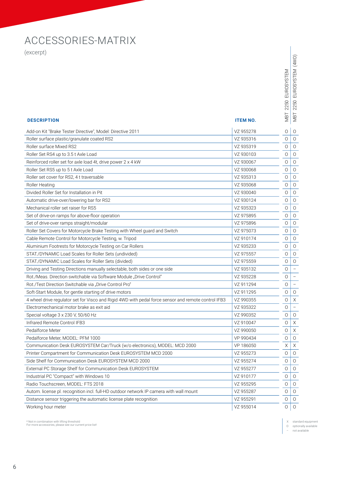## ACCESSORIES-MATRIX

(excerpt)

| (excerpt)                                                                                           |                 |                   |                          |
|-----------------------------------------------------------------------------------------------------|-----------------|-------------------|--------------------------|
|                                                                                                     |                 |                   | (4WD)                    |
|                                                                                                     |                 |                   |                          |
|                                                                                                     |                 | <b>EUROSYSTEM</b> | <b>EUROSYSTEM</b>        |
|                                                                                                     |                 |                   |                          |
|                                                                                                     |                 |                   |                          |
|                                                                                                     |                 |                   |                          |
|                                                                                                     |                 | 2250              | 2250                     |
|                                                                                                     |                 |                   | NBT                      |
| <b>DESCRIPTION</b>                                                                                  | <b>ITEM NO.</b> | LEM               |                          |
| Add-on Kit "Brake Tester Directive", Model: Directive 2011                                          | VZ 955278       | 0                 | 0                        |
| Roller surface plastic/granulate coated RS2                                                         | VZ 935316       | 0                 | $\circ$                  |
| Roller surface Mixed RS2                                                                            | VZ 935319       | 0                 | 0                        |
| Roller Set RS4 up to 3.5 t Axle Load                                                                | VZ 930103       | 0                 | 0                        |
| Reinforced roller set for axle load 4t, drive power 2 x 4 kW                                        | VZ 930067       | 0                 | 0                        |
| Roller Set RS5 up to 5t Axle Load                                                                   | VZ 930068       | 0                 | $\circ$                  |
| Roller set cover for RS2, 4 t traversable                                                           | VZ 935313       | $\circ$           | 0                        |
| <b>Roller Heating</b>                                                                               | VZ 935068       | 0                 | 0                        |
| Divided Roller Set for Installation in Pit                                                          | VZ 930040       | 0                 | 0                        |
| Automatic drive-over/lowering bar for RS2                                                           | VZ 930124       | 0                 | $\circ$                  |
| Mechanical roller set raiser for RS5                                                                | VZ 935323       | 0                 | 0                        |
| Set of drive-on ramps for above-floor operation                                                     | VZ 975895       | 0                 | 0                        |
| Set of drive-over ramps straight/modular                                                            | VZ 975896       | 0                 | 0                        |
| Roller Set Covers for Motorcycle Brake Testing with Wheel guard and Switch                          | VZ 975073       | 0                 | 0                        |
| Cable Remote Control for Motorcycle Testing, w. Tripod                                              | VZ 910174       | 0                 | $\circ$                  |
| Aluminium Footrests for Motorcycle Testing on Car Rollers                                           | VZ 935233       | 0                 | 0                        |
| STAT./DYNAMIC Load Scales for Roller Sets (undivided)                                               | VZ 975557       | 0                 | 0                        |
| STAT./DYNAMIC Load Scales for Roller Sets (divided)                                                 | VZ 975559       | 0                 | 0                        |
| Driving and Testing Directions manually selectable, both sides or one side                          | VZ 935132       | $\circ$           |                          |
| Rot./Meas. Direction switchable via Software Module "Drive Control"                                 | VZ 935228       | 0                 |                          |
| Rot./Test Direction Switchable via "Drive Control Pro"                                              | VZ 911294       | $\circ$           | $\overline{\phantom{0}}$ |
| Soft-Start Module, for gentle starting of drive motors                                              | VZ 911295       | 0                 | $\circ$                  |
| 4 wheel drive regulator set for Visco and Rigid 4WD with pedal force sensor and remote control IFB3 | VZ 990355       | 0                 | $\times$                 |
| Electromechanical motor brake as exit aid                                                           | VZ 935322       | 0                 |                          |
| Special voltage 3 x 230 V, 50/60 Hz                                                                 | VZ 990352       | 0                 | 0                        |
| Infrared Remote Control IFB3                                                                        | VZ 910047       | 0                 | Χ                        |
| Pedalforce Meter                                                                                    | VZ 990050       | 0                 | Χ                        |
| Pedalforce Meter, MODEL: PFM 1000                                                                   | VP 990434       | $\circ$           | 0                        |
| Communication Desk EUROSYSTEM Car/Truck (w/o electronics), MODEL: MCD 2000                          | VP 186050       | Χ                 | Χ                        |
| Printer Compartment for Communication Desk EUROSYSTEM MCD 2000                                      | VZ 955273       | 0                 | $\circ$                  |
| Side Shelf for Communication Desk EUROSYSTEM MCD 2000                                               | VZ 955274       | 0                 | 0                        |
| External PC Storage Shelf for Communication Desk EUROSYSTEM                                         | VZ 955277       | 0                 | $\circ$                  |
| Industrial PC "Compact" with Windows 10                                                             | VZ 910177       | 0                 | 0                        |
| Radio Touchscreen, MODEL: FTS 2018                                                                  | VZ 955295       | $\circ$           | 0                        |
| Autom. license pl. recognition incl. full-HD outdoor network IP camera with wall mount              | VZ 955287       | 0                 | 0                        |
| Distance sensor triggering the automatic license plate recognition                                  | VZ 955291       | 0                 | 0                        |
| Working hour meter                                                                                  | VZ 955014       | $\circ$           | $\mathsf O$              |

\* Not in combination with lifting threshold For more accessories, please see our current price list!

– not available

X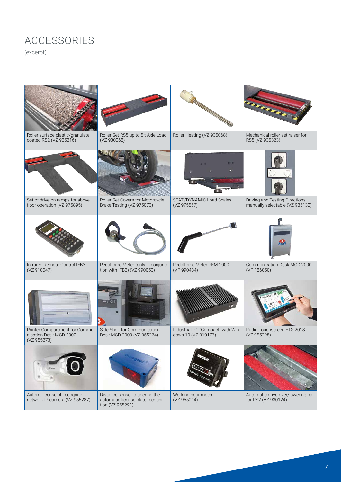# ACCESSORIES

(excerpt)